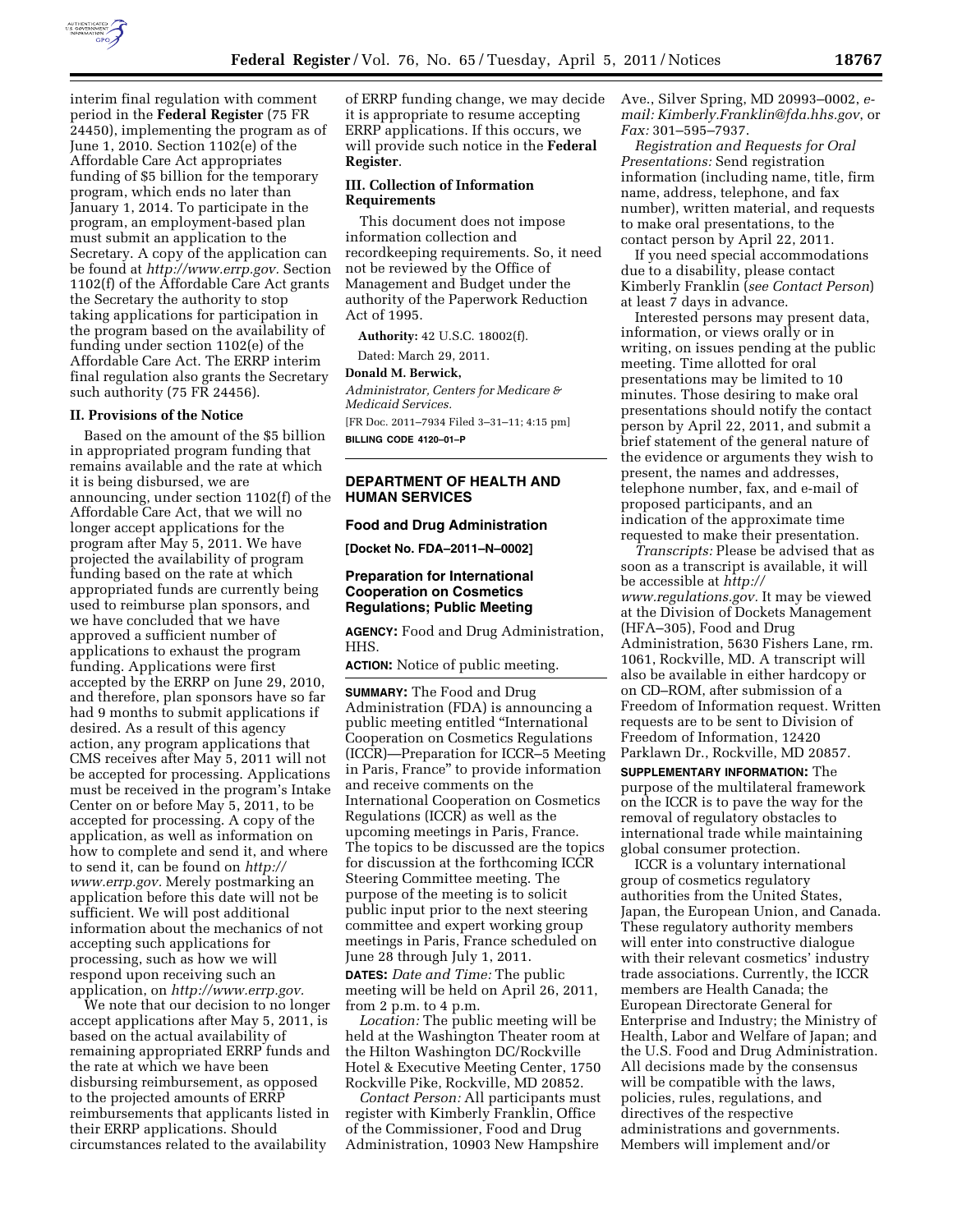

interim final regulation with comment period in the **Federal Register** (75 FR 24450), implementing the program as of June 1, 2010. Section 1102(e) of the Affordable Care Act appropriates funding of \$5 billion for the temporary program, which ends no later than January 1, 2014. To participate in the program, an employment-based plan must submit an application to the Secretary. A copy of the application can be found at *[http://www.errp.gov.](http://www.errp.gov)* Section 1102(f) of the Affordable Care Act grants the Secretary the authority to stop taking applications for participation in the program based on the availability of funding under section 1102(e) of the Affordable Care Act. The ERRP interim final regulation also grants the Secretary such authority (75 FR 24456).

#### **II. Provisions of the Notice**

Based on the amount of the \$5 billion in appropriated program funding that remains available and the rate at which it is being disbursed, we are announcing, under section 1102(f) of the Affordable Care Act, that we will no longer accept applications for the program after May 5, 2011. We have projected the availability of program funding based on the rate at which appropriated funds are currently being used to reimburse plan sponsors, and we have concluded that we have approved a sufficient number of applications to exhaust the program funding. Applications were first accepted by the ERRP on June 29, 2010, and therefore, plan sponsors have so far had 9 months to submit applications if desired. As a result of this agency action, any program applications that CMS receives after May 5, 2011 will not be accepted for processing. Applications must be received in the program's Intake Center on or before May 5, 2011, to be accepted for processing. A copy of the application, as well as information on how to complete and send it, and where to send it, can be found on *[http://](http://www.errp.gov)  [www.errp.gov.](http://www.errp.gov)* Merely postmarking an application before this date will not be sufficient. We will post additional information about the mechanics of not accepting such applications for processing, such as how we will respond upon receiving such an application, on *[http://www.errp.gov.](http://www.errp.gov)* 

We note that our decision to no longer accept applications after May 5, 2011, is based on the actual availability of remaining appropriated ERRP funds and the rate at which we have been disbursing reimbursement, as opposed to the projected amounts of ERRP reimbursements that applicants listed in their ERRP applications. Should circumstances related to the availability

of ERRP funding change, we may decide it is appropriate to resume accepting ERRP applications. If this occurs, we will provide such notice in the **Federal Register**.

### **III. Collection of Information Requirements**

This document does not impose information collection and recordkeeping requirements. So, it need not be reviewed by the Office of Management and Budget under the authority of the Paperwork Reduction Act of 1995.

**Authority:** 42 U.S.C. 18002(f).

Dated: March 29, 2011.

# **Donald M. Berwick,**

*Administrator, Centers for Medicare & Medicaid Services.* 

[FR Doc. 2011–7934 Filed 3–31–11; 4:15 pm] **BILLING CODE 4120–01–P** 

# **DEPARTMENT OF HEALTH AND HUMAN SERVICES**

#### **Food and Drug Administration**

**[Docket No. FDA–2011–N–0002]** 

# **Preparation for International Cooperation on Cosmetics Regulations; Public Meeting**

**AGENCY:** Food and Drug Administration, HHS.

**ACTION:** Notice of public meeting.

**SUMMARY:** The Food and Drug Administration (FDA) is announcing a public meeting entitled ''International Cooperation on Cosmetics Regulations (ICCR)—Preparation for ICCR–5 Meeting in Paris, France'' to provide information and receive comments on the International Cooperation on Cosmetics Regulations (ICCR) as well as the upcoming meetings in Paris, France. The topics to be discussed are the topics for discussion at the forthcoming ICCR Steering Committee meeting. The purpose of the meeting is to solicit public input prior to the next steering committee and expert working group meetings in Paris, France scheduled on June 28 through July 1, 2011. **DATES:** *Date and Time:* The public meeting will be held on April 26, 2011, from 2 p.m. to 4 p.m.

*Location:* The public meeting will be held at the Washington Theater room at the Hilton Washington DC/Rockville Hotel & Executive Meeting Center, 1750 Rockville Pike, Rockville, MD 20852.

*Contact Person:* All participants must register with Kimberly Franklin, Office of the Commissioner, Food and Drug Administration, 10903 New Hampshire

Ave., Silver Spring, MD 20993–0002, *email: [Kimberly.Franklin@fda.hhs.gov](mailto:Kimberly.Franklin@fda.hhs.gov)*, or *Fax:* 301–595–7937.

*Registration and Requests for Oral Presentations:* Send registration information (including name, title, firm name, address, telephone, and fax number), written material, and requests to make oral presentations, to the contact person by April 22, 2011.

If you need special accommodations due to a disability, please contact Kimberly Franklin (*see Contact Person*) at least 7 days in advance.

Interested persons may present data, information, or views orally or in writing, on issues pending at the public meeting. Time allotted for oral presentations may be limited to 10 minutes. Those desiring to make oral presentations should notify the contact person by April 22, 2011, and submit a brief statement of the general nature of the evidence or arguments they wish to present, the names and addresses, telephone number, fax, and e-mail of proposed participants, and an indication of the approximate time requested to make their presentation.

*Transcripts:* Please be advised that as soon as a transcript is available, it will be accessible at *[http://](http://www.regulations.gov) [www.regulations.gov.](http://www.regulations.gov)* It may be viewed at the Division of Dockets Management (HFA–305), Food and Drug Administration, 5630 Fishers Lane, rm. 1061, Rockville, MD. A transcript will also be available in either hardcopy or on CD–ROM, after submission of a Freedom of Information request. Written requests are to be sent to Division of Freedom of Information, 12420 Parklawn Dr., Rockville, MD 20857.

**SUPPLEMENTARY INFORMATION:** The purpose of the multilateral framework on the ICCR is to pave the way for the removal of regulatory obstacles to international trade while maintaining global consumer protection.

ICCR is a voluntary international group of cosmetics regulatory authorities from the United States, Japan, the European Union, and Canada. These regulatory authority members will enter into constructive dialogue with their relevant cosmetics' industry trade associations. Currently, the ICCR members are Health Canada; the European Directorate General for Enterprise and Industry; the Ministry of Health, Labor and Welfare of Japan; and the U.S. Food and Drug Administration. All decisions made by the consensus will be compatible with the laws, policies, rules, regulations, and directives of the respective administrations and governments. Members will implement and/or